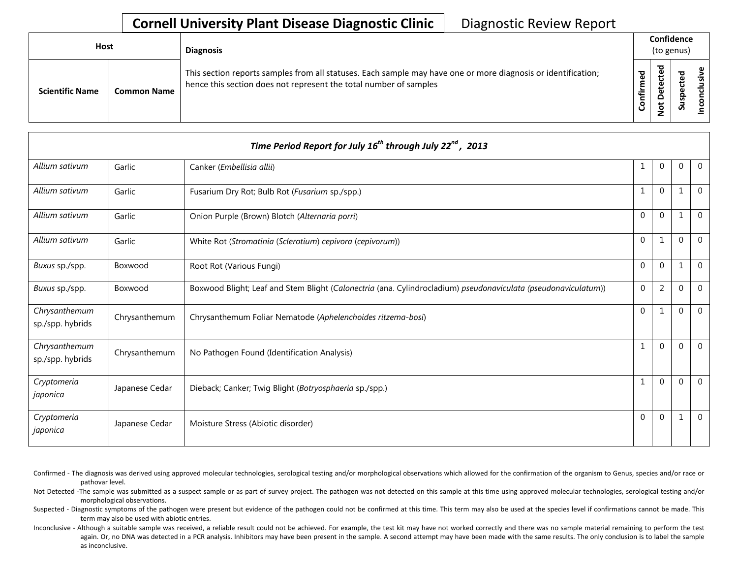| Host                   |                    | <b>Diagnosis</b>                                                                                                                                                                   |              |                                   | Confidence<br>(to genus) |  |
|------------------------|--------------------|------------------------------------------------------------------------------------------------------------------------------------------------------------------------------------|--------------|-----------------------------------|--------------------------|--|
| <b>Scientific Name</b> | <b>Common Name</b> | This section reports samples from all statuses. Each sample may have one or more diagnosis or identification;<br>hence this section does not represent the total number of samples | med<br>onfir | ठ<br>Φ<br>ى<br>≏<br>$\frac{1}{2}$ | ਠ<br>ပ<br>9s<br>ທ້       |  |

| Time Period Report for July $16^{th}$ through July $22^{nd}$ , 2013 |                |                                                                                                                |                |                |              |                |  |  |  |
|---------------------------------------------------------------------|----------------|----------------------------------------------------------------------------------------------------------------|----------------|----------------|--------------|----------------|--|--|--|
| Allium sativum                                                      | Garlic         | Canker (Embellisia allii)                                                                                      | 1              | 0              | 0            | $\overline{0}$ |  |  |  |
| Allium sativum                                                      | Garlic         | Fusarium Dry Rot; Bulb Rot (Fusarium sp./spp.)                                                                 | 1              | $\mathbf{0}$   |              | $\mathbf{0}$   |  |  |  |
| Allium sativum                                                      | Garlic         | Onion Purple (Brown) Blotch (Alternaria porri)                                                                 | $\mathbf 0$    | $\mathbf 0$    |              | $\mathbf 0$    |  |  |  |
| Allium sativum                                                      | Garlic         | White Rot (Stromatinia (Sclerotium) cepivora (cepivorum))                                                      | $\overline{0}$ | $\mathbf{1}$   | $\Omega$     | $\mathbf 0$    |  |  |  |
| Buxus sp./spp.                                                      | Boxwood        | Root Rot (Various Fungi)                                                                                       | $\Omega$       | $\Omega$       | $\mathbf{1}$ | $\Omega$       |  |  |  |
| Buxus sp./spp.                                                      | Boxwood        | Boxwood Blight; Leaf and Stem Blight (Calonectria (ana. Cylindrocladium) pseudonaviculata (pseudonaviculatum)) | $\mathbf 0$    | $\overline{2}$ | $\Omega$     | $\Omega$       |  |  |  |
| Chrysanthemum<br>sp./spp. hybrids                                   | Chrysanthemum  | Chrysanthemum Foliar Nematode (Aphelenchoides ritzema-bosi)                                                    | $\Omega$       | 1              | $\mathbf 0$  | $\overline{0}$ |  |  |  |
| Chrysanthemum<br>sp./spp. hybrids                                   | Chrysanthemum  | No Pathogen Found (Identification Analysis)                                                                    | 1              | $\Omega$       | $\Omega$     | $\mathbf{0}$   |  |  |  |
| Cryptomeria<br>japonica                                             | Japanese Cedar | Dieback; Canker; Twig Blight (Botryosphaeria sp./spp.)                                                         | 1              | $\Omega$       | $\Omega$     | $\Omega$       |  |  |  |
| Cryptomeria<br>japonica                                             | Japanese Cedar | Moisture Stress (Abiotic disorder)                                                                             | $\Omega$       | $\mathbf{0}$   | 1            | $\overline{0}$ |  |  |  |

- Confirmed The diagnosis was derived using approved molecular technologies, serological testing and/or morphological observations which allowed for the confirmation of the organism to Genus, species and/or race or pathovar level.
- Not Detected -The sample was submitted as a suspect sample or as part of survey project. The pathogen was not detected on this sample at this time using approved molecular technologies, serological testing and/or morphological observations.
- Suspected Diagnostic symptoms of the pathogen were present but evidence of the pathogen could not be confirmed at this time. This term may also be used at the species level if confirmations cannot be made. This term may also be used with abiotic entries.
- Inconclusive Although a suitable sample was received, a reliable result could not be achieved. For example, the test kit may have not worked correctly and there was no sample material remaining to perform the test again. Or, no DNA was detected in a PCR analysis. Inhibitors may have been present in the sample. A second attempt may have been made with the same results. The only conclusion is to label the sample as inconclusive.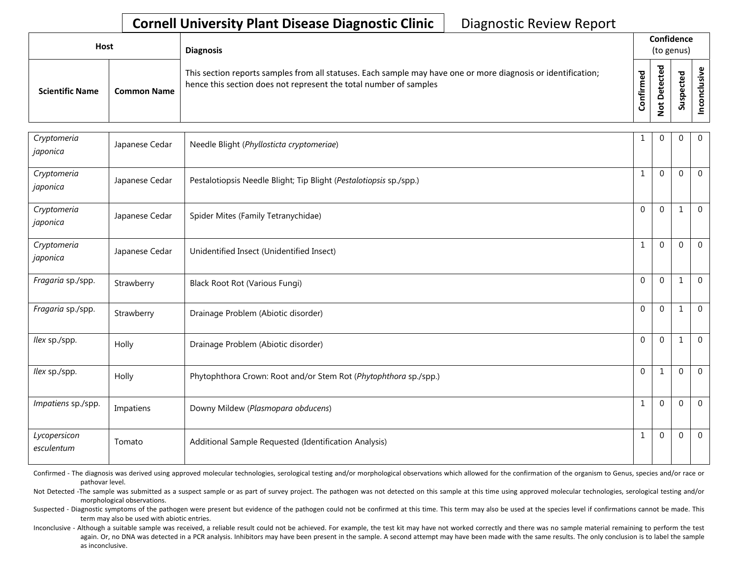| Host                   |                    | <b>Diagnosis</b>                                                                                                                                                                   |                  | Confidence<br>(to genus)       |                  |  |  |  |
|------------------------|--------------------|------------------------------------------------------------------------------------------------------------------------------------------------------------------------------------|------------------|--------------------------------|------------------|--|--|--|
| <b>Scientific Name</b> | <b>Common Name</b> | This section reports samples from all statuses. Each sample may have one or more diagnosis or identification;<br>hence this section does not represent the total number of samples | ಕ<br>Ē<br>Confir | ted<br>ں<br>ete<br>۵<br>ى<br>۰ | ъ<br>으<br>۵<br>Ū |  |  |  |

| Cryptomeria<br>japonica    | Japanese Cedar | Needle Blight (Phyllosticta cryptomeriae)                          | 1            | $\Omega$     | $\mathbf 0$  | $\overline{0}$ |
|----------------------------|----------------|--------------------------------------------------------------------|--------------|--------------|--------------|----------------|
| Cryptomeria<br>japonica    | Japanese Cedar | Pestalotiopsis Needle Blight; Tip Blight (Pestalotiopsis sp./spp.) | $\mathbf{1}$ | $\Omega$     | $\mathbf{0}$ | $\mathbf{0}$   |
| Cryptomeria<br>japonica    | Japanese Cedar | Spider Mites (Family Tetranychidae)                                | $\Omega$     | $\Omega$     | 1            | $\mathbf 0$    |
| Cryptomeria<br>japonica    | Japanese Cedar | Unidentified Insect (Unidentified Insect)                          | $\mathbf{1}$ | $\Omega$     | $\mathbf{0}$ | $\mathbf{0}$   |
| Fragaria sp./spp.          | Strawberry     | <b>Black Root Rot (Various Fungi)</b>                              | $\Omega$     | $\Omega$     | 1            | $\overline{0}$ |
| Fragaria sp./spp.          | Strawberry     | Drainage Problem (Abiotic disorder)                                | $\Omega$     | $\Omega$     | 1            | $\overline{0}$ |
| llex sp./spp.              | Holly          | Drainage Problem (Abiotic disorder)                                | $\Omega$     | $\Omega$     | 1            | $\mathbf 0$    |
| llex sp./spp.              | Holly          | Phytophthora Crown: Root and/or Stem Rot (Phytophthora sp./spp.)   | $\Omega$     | $\mathbf{1}$ | $\Omega$     | $\mathbf 0$    |
| Impatiens sp./spp.         | Impatiens      | Downy Mildew (Plasmopara obducens)                                 | 1            | $\Omega$     | $\Omega$     | $\mathbf{0}$   |
| Lycopersicon<br>esculentum | Tomato         | Additional Sample Requested (Identification Analysis)              | 1            | $\Omega$     | $\Omega$     | $\mathbf{0}$   |

Confirmed - The diagnosis was derived using approved molecular technologies, serological testing and/or morphological observations which allowed for the confirmation of the organism to Genus, species and/or race or pathovar level.

Not Detected -The sample was submitted as a suspect sample or as part of survey project. The pathogen was not detected on this sample at this time using approved molecular technologies, serological testing and/or morphological observations.

Suspected - Diagnostic symptoms of the pathogen were present but evidence of the pathogen could not be confirmed at this time. This term may also be used at the species level if confirmations cannot be made. This term may also be used with abiotic entries.

Inconclusive - Although a suitable sample was received, a reliable result could not be achieved. For example, the test kit may have not worked correctly and there was no sample material remaining to perform the test again. Or, no DNA was detected in a PCR analysis. Inhibitors may have been present in the sample. A second attempt may have been made with the same results. The only conclusion is to label the sample as inconclusive.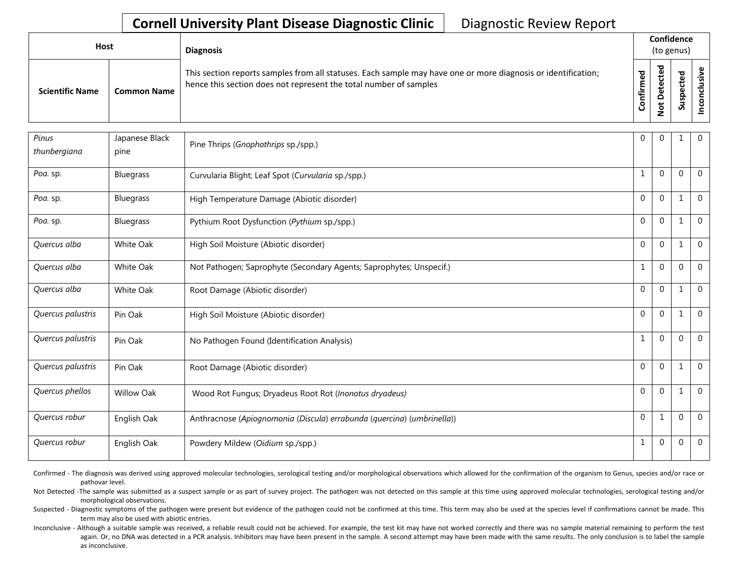| Host                   |                    | <b>Diagnosis</b>                                                                                                                                                                   |          | Confidence<br>(to genus)     |                                    |          |  |  |
|------------------------|--------------------|------------------------------------------------------------------------------------------------------------------------------------------------------------------------------------|----------|------------------------------|------------------------------------|----------|--|--|
| <b>Scientific Name</b> | <b>Common Name</b> | This section reports samples from all statuses. Each sample may have one or more diagnosis or identification;<br>hence this section does not represent the total number of samples | ਠ<br>tir | ᇃ<br>Φ<br>۵<br>ى<br><u>و</u> | ᇃ<br>Φ<br>ں<br>്ധ<br>qsr<br>۔<br>S | <u>ی</u> |  |  |

| Pinus<br>thunbergiana | Japanese Black<br>pine | Pine Thrips (Gnophothrips sp./spp.)                                    | $\Omega$     | $\Omega$     | 1        | $\mathbf 0$    |
|-----------------------|------------------------|------------------------------------------------------------------------|--------------|--------------|----------|----------------|
| Poa. sp.              | <b>Bluegrass</b>       | Curvularia Blight; Leaf Spot (Curvularia sp./spp.)                     | $\mathbf{1}$ | $\Omega$     | $\Omega$ | $\mathbf{0}$   |
| Poa. sp.              | Bluegrass              | High Temperature Damage (Abiotic disorder)                             | $\Omega$     | $\Omega$     | 1        | $\mathbf 0$    |
| Poa. sp.              | <b>Bluegrass</b>       | Pythium Root Dysfunction (Pythium sp./spp.)                            | $\Omega$     | $\mathbf{0}$ | 1        | $\overline{0}$ |
| Quercus alba          | White Oak              | High Soil Moisture (Abiotic disorder)                                  | $\Omega$     | $\Omega$     | 1        | $\mathbf 0$    |
| Quercus alba          | White Oak              | Not Pathogen; Saprophyte (Secondary Agents; Saprophytes; Unspecif.)    | $\mathbf{1}$ | $\Omega$     | $\Omega$ | $\overline{0}$ |
| Quercus alba          | White Oak              | Root Damage (Abiotic disorder)                                         | $\Omega$     | $\Omega$     | 1        | $\overline{0}$ |
| Quercus palustris     | Pin Oak                | High Soil Moisture (Abiotic disorder)                                  | $\Omega$     | $\Omega$     | 1        | $\mathbf{0}$   |
| Quercus palustris     | Pin Oak                | No Pathogen Found (Identification Analysis)                            | $\mathbf{1}$ | $\mathbf{0}$ | $\Omega$ | $\Omega$       |
| Quercus palustris     | Pin Oak                | Root Damage (Abiotic disorder)                                         | $\Omega$     | $\Omega$     | 1        | $\mathbf 0$    |
| Quercus phellos       | <b>Willow Oak</b>      | Wood Rot Fungus; Dryadeus Root Rot (Inonotus dryadeus)                 | $\Omega$     | $\mathbf{0}$ | 1        | $\Omega$       |
| Quercus robur         | English Oak            | Anthracnose (Apiognomonia (Discula) errabunda (quercina) (umbrinella)) | $\Omega$     | $\mathbf{1}$ | $\Omega$ | $\Omega$       |
| Quercus robur         | English Oak            | Powdery Mildew (Oidium sp./spp.)                                       | $\mathbf{1}$ | $\Omega$     | $\Omega$ | $\mathbf 0$    |

Confirmed - The diagnosis was derived using approved molecular technologies, serological testing and/or morphological observations which allowed for the confirmation of the organism to Genus, species and/or race or pathovar level.

Not Detected -The sample was submitted as a suspect sample or as part of survey project. The pathogen was not detected on this sample at this time using approved molecular technologies, serological testing and/or morphological observations.

Suspected - Diagnostic symptoms of the pathogen were present but evidence of the pathogen could not be confirmed at this time. This term may also be used at the species level if confirmations cannot be made. This term may also be used with abiotic entries.

Inconclusive - Although a suitable sample was received, a reliable result could not be achieved. For example, the test kit may have not worked correctly and there was no sample material remaining to perform the test again. Or, no DNA was detected in a PCR analysis. Inhibitors may have been present in the sample. A second attempt may have been made with the same results. The only conclusion is to label the sample as inconclusive.